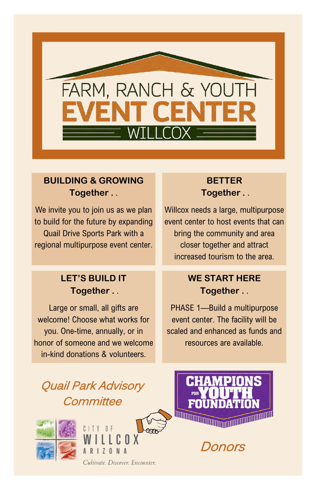

### **BUILDING & GROWING Together .** .

We invite you to join us as we plan to build for the future by expanding Quail Drive Sports Park with a regional multipurpose event center.

#### **LET'S BUILD IT Together .** .

Large or small, all gifts are welcome! Choose what works for you. One-time, annually, or in honor of someone and we welcome in-kind donations & volunteers.

#### **BETTER Together .** .

Willcox needs a large, multipurpose event center to host events that can bring the community and area closer together and attract increased tourism to the area.

### **WE START HERE Together .** .

PHASE 1—Build a multipurpose event center. The facility will be scaled and enhanced as funds and resources are available.

# Quail Park Advisory **Committee**







Donors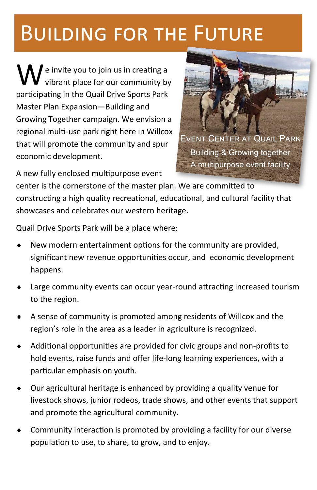# Building for the Future

e invite you to join us in creating a vibrant place for our community by participating in the Quail Drive Sports Park Master Plan Expansion—Building and Growing Together campaign. We envision a regional multi-use park right here in Willcox that will promote the community and spur economic development.



A new fully enclosed multipurpose event

center is the cornerstone of the master plan. We are committed to constructing a high quality recreational, educational, and cultural facility that showcases and celebrates our western heritage.

Quail Drive Sports Park will be a place where:

- New modern entertainment options for the community are provided, significant new revenue opportunities occur, and economic development happens.
- Large community events can occur year-round attracting increased tourism to the region.
- A sense of community is promoted among residents of Willcox and the region's role in the area as a leader in agriculture is recognized.
- Additional opportunities are provided for civic groups and non-profits to hold events, raise funds and offer life-long learning experiences, with a particular emphasis on youth.
- Our agricultural heritage is enhanced by providing a quality venue for livestock shows, junior rodeos, trade shows, and other events that support and promote the agricultural community.
- Community interaction is promoted by providing a facility for our diverse population to use, to share, to grow, and to enjoy.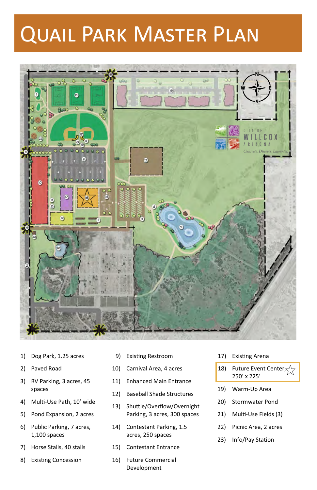# Quail Park Master Plan



- 1) Dog Park, 1.25 acres
- 2) Paved Road
- 3) RV Parking, 3 acres, 45 spaces
- 4) Multi-Use Path, 10' wide
- 5) Pond Expansion, 2 acres
- 6) Public Parking, 7 acres, 1,100 spaces
- 7) Horse Stalls, 40 stalls
- 8) Existing Concession
- 9) Existing Restroom
- 10) Carnival Area, 4 acres
- 11) Enhanced Main Entrance
- 12) Baseball Shade Structures
- 13) Shuttle/Overflow/Overnight Parking, 3 acres, 300 spaces
- 14) Contestant Parking, 1.5 acres, 250 spaces
- 15) Contestant Entrance
- 16) Future Commercial Development
- 17) Existing Arena
- 18) Future Event Center $\varsigma^{\wedge}$ 250' x 225'
- 19) Warm-Up Area
- 20) Stormwater Pond
- 21) Multi-Use Fields (3)
- 22) Picnic Area, 2 acres
- 23) Info/Pay Station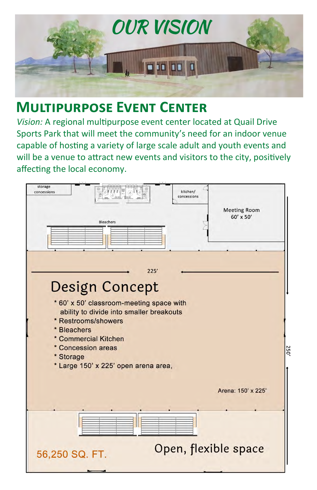

### **Multipurpose Event Center**

*Vision:* A regional multipurpose event center located at Quail Drive Sports Park that will meet the community's need for an indoor venue capable of hosting a variety of large scale adult and youth events and will be a venue to attract new events and visitors to the city, positively affecting the local economy.

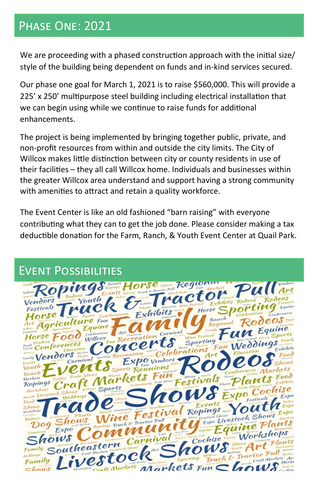### Phase One: 2021

We are proceeding with a phased construction approach with the initial size/ style of the building being dependent on funds and in-kind services secured.

Our phase one goal for March 1, 2021 is to raise \$560,000. This will provide a 225' x 250' multipurpose steel building including electrical installation that we can begin using while we continue to raise funds for additional enhancements.

The project is being implemented by bringing together public, private, and non-profit resources from within and outside the city limits. The City of Willcox makes little distinction between city or county residents in use of their facilities – they all call Willcox home. Individuals and businesses within the greater Willcox area understand and support having a strong community with amenities to attract and retain a quality workforce.

The Event Center is like an old fashioned "barn raising" with everyone contributing what they can to get the job done. Please consider making a tax deductible donation for the Farm, Ranch, & Youth Event Center at Quail Park.

### Event Possibilities

| Roping Events Horse Regional                                                              |        |
|-------------------------------------------------------------------------------------------|--------|
|                                                                                           |        |
|                                                                                           |        |
|                                                                                           | Equine |
| Southeastern Exhibits The Horse Sp<br>Conferences                                         |        |
| $O$ Foot                                                                                  |        |
| Ranch<br>Regional<br>Agriculture Fun<br>Roo                                               |        |
|                                                                                           |        |
| 000 Celebrations Art                                                                      |        |
| Concert Celebrations Fun Weddings<br>Food Vendors ferences Willcox                        |        |
|                                                                                           |        |
| Family Vendors Notes<br>uts Exprovement Roder Education                                   |        |
| Carnival                                                                                  |        |
|                                                                                           |        |
|                                                                                           |        |
| Ropings <sup>cochue</sup>                                                                 |        |
| Workshops Weddings Sports Community Festivals, Plan Plan Containers (Community Community) |        |
|                                                                                           |        |
|                                                                                           |        |
|                                                                                           |        |
|                                                                                           |        |
| Festival Ropings OUT                                                                      |        |
| Expo Livestock Shows<br>Ropings Truck & Tractor Pull<br>Dog Shows                         |        |
|                                                                                           |        |
|                                                                                           |        |
|                                                                                           |        |
|                                                                                           |        |
| Southeastern Carnival Cochise Workshops                                                   |        |
|                                                                                           |        |
|                                                                                           |        |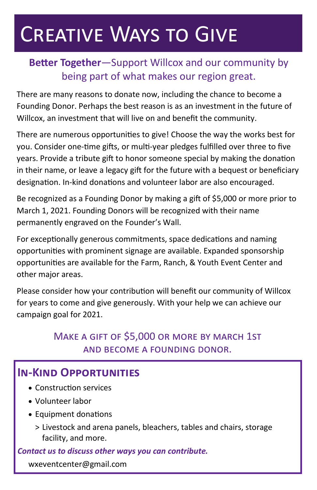# Creative Ways to Give

### **Better Together**—Support Willcox and our community by being part of what makes our region great.

There are many reasons to donate now, including the chance to become a Founding Donor. Perhaps the best reason is as an investment in the future of Willcox, an investment that will live on and benefit the community.

There are numerous opportunities to give! Choose the way the works best for you. Consider one-time gifts, or multi-year pledges fulfilled over three to five years. Provide a tribute gift to honor someone special by making the donation in their name, or leave a legacy gift for the future with a bequest or beneficiary designation. In-kind donations and volunteer labor are also encouraged.

Be recognized as a Founding Donor by making a gift of \$5,000 or more prior to March 1, 2021. Founding Donors will be recognized with their name permanently engraved on the Founder's Wall.

For exceptionally generous commitments, space dedications and naming opportunities with prominent signage are available. Expanded sponsorship opportunities are available for the Farm, Ranch, & Youth Event Center and other major areas.

Please consider how your contribution will benefit our community of Willcox for years to come and give generously. With your help we can achieve our campaign goal for 2021.

### Make a gift of \$5,000 or more by march 1st and become a founding donor.

### **In-Kind Opportunities**

- Construction services
- Volunteer labor
- Equipment donations
	- > Livestock and arena panels, bleachers, tables and chairs, storage facility, and more.

#### *Contact us to discuss other ways you can contribute.*

wxeventcenter@gmail.com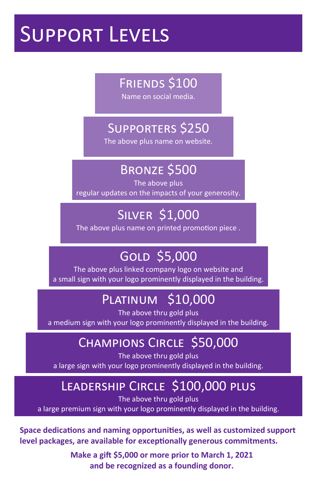# Support Levels

## Friends \$100

Name on social media.

# Supporters \$250

The above plus name on website.

## Bronze \$500

The above plus regular updates on the impacts of your generosity.

# Silver \$1,000

The above plus name on printed promotion piece .

# Gold \$5,000

The above plus linked company logo on website and a small sign with your logo prominently displayed in the building.

# Platinum \$10,000

The above thru gold plus

a medium sign with your logo prominently displayed in the building.

## Champions Circle \$50,000

The above thru gold plus a large sign with your logo prominently displayed in the building.

# Leadership Circle \$100,000 plus

The above thru gold plus

a large premium sign with your logo prominently displayed in the building.

**Space dedications and naming opportunities, as well as customized support level packages, are available for exceptionally generous commitments.**

> **Make a gift \$5,000 or more prior to March 1, 2021 and be recognized as a founding donor.**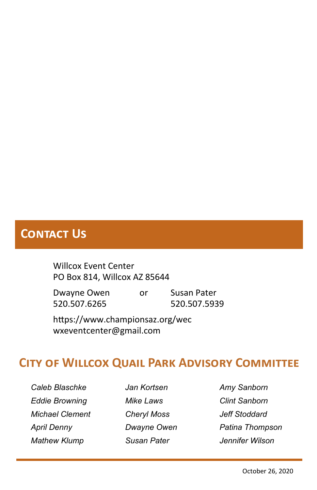### **Contact Us**

Willcox Event Center PO Box 814, Willcox AZ 85644

Dwayne Owen or Susan Pater 520.507.6265 520.507.5939

https://www.championsaz.org/wec wxeventcenter@gmail.com

### **City of Willcox Quail Park Advisory Committee**

*Caleb Blaschke Eddie Browning Michael Clement April Denny Mathew Klump*

*Jan Kortsen Mike Laws Cheryl Moss Dwayne Owen Susan Pater*

*Amy Sanborn Clint Sanborn Jeff Stoddard Patina Thompson Jennifer Wilson*